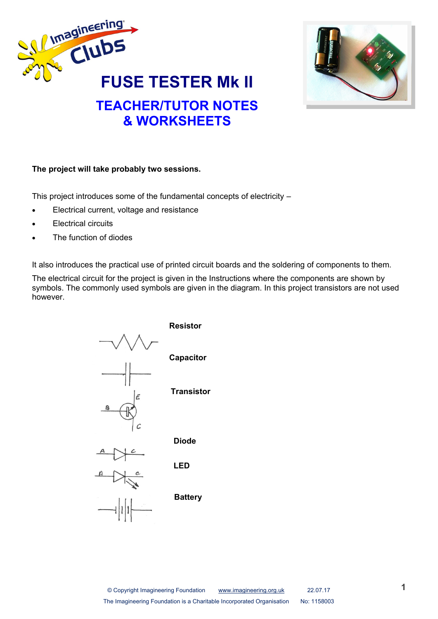



#### **The project will take probably two sessions.**

This project introduces some of the fundamental concepts of electricity –

- Electrical current, voltage and resistance
- Electrical circuits
- The function of diodes

It also introduces the practical use of printed circuit boards and the soldering of components to them.

The electrical circuit for the project is given in the Instructions where the components are shown by symbols. The commonly used symbols are given in the diagram. In this project transistors are not used however.



© Copyright Imagineering Foundation [www.imagineering.org.uk](http://www.imagineering.org.uk) 22.07.17 The Imagineering Foundation is a Charitable Incorporated Organisation No: 1158003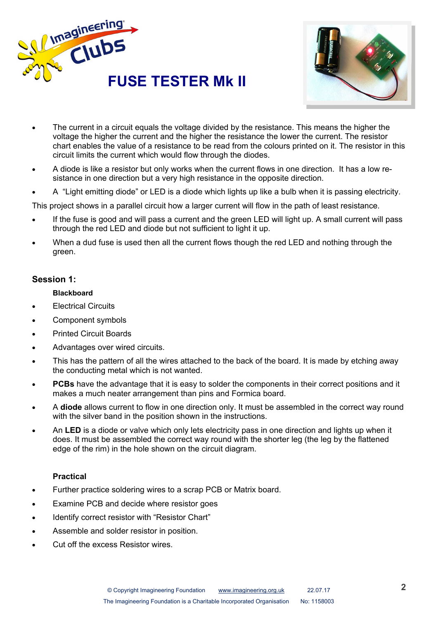



- The current in a circuit equals the voltage divided by the resistance. This means the higher the voltage the higher the current and the higher the resistance the lower the current. The resistor chart enables the value of a resistance to be read from the colours printed on it. The resistor in this circuit limits the current which would flow through the diodes.
- A diode is like a resistor but only works when the current flows in one direction. It has a low resistance in one direction but a very high resistance in the opposite direction.
- A "Light emitting diode" or LED is a diode which lights up like a bulb when it is passing electricity.

This project shows in a parallel circuit how a larger current will flow in the path of least resistance.

- If the fuse is good and will pass a current and the green LED will light up. A small current will pass through the red LED and diode but not sufficient to light it up.
- When a dud fuse is used then all the current flows though the red LED and nothing through the green.

### **Session 1:**

#### **Blackboard**

- Electrical Circuits
- Component symbols
- Printed Circuit Boards
- Advantages over wired circuits.
- This has the pattern of all the wires attached to the back of the board. It is made by etching away the conducting metal which is not wanted.
- **PCBs** have the advantage that it is easy to solder the components in their correct positions and it makes a much neater arrangement than pins and Formica board.
- A **diode** allows current to flow in one direction only. It must be assembled in the correct way round with the silver band in the position shown in the instructions.
- An **LED** is a diode or valve which only lets electricity pass in one direction and lights up when it does. It must be assembled the correct way round with the shorter leg (the leg by the flattened edge of the rim) in the hole shown on the circuit diagram.

#### **Practical**

- Further practice soldering wires to a scrap PCB or Matrix board.
- Examine PCB and decide where resistor goes
- Identify correct resistor with "Resistor Chart"
- Assemble and solder resistor in position.
- Cut off the excess Resistor wires.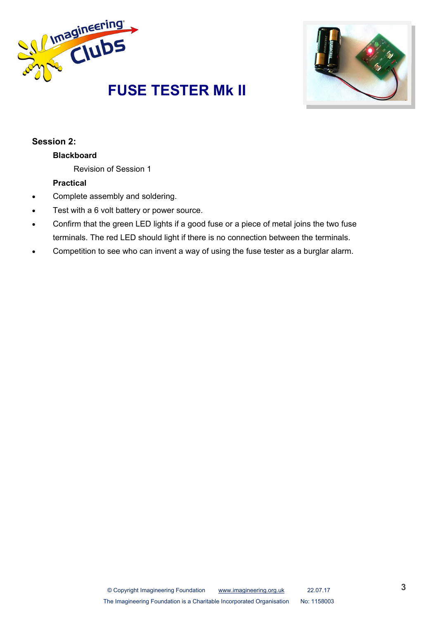



## **Session 2:**

# **Blackboard**

Revision of Session 1

### **Practical**

- Complete assembly and soldering.
- Test with a 6 volt battery or power source.
- Confirm that the green LED lights if a good fuse or a piece of metal joins the two fuse terminals. The red LED should light if there is no connection between the terminals.
- Competition to see who can invent a way of using the fuse tester as a burglar alarm.